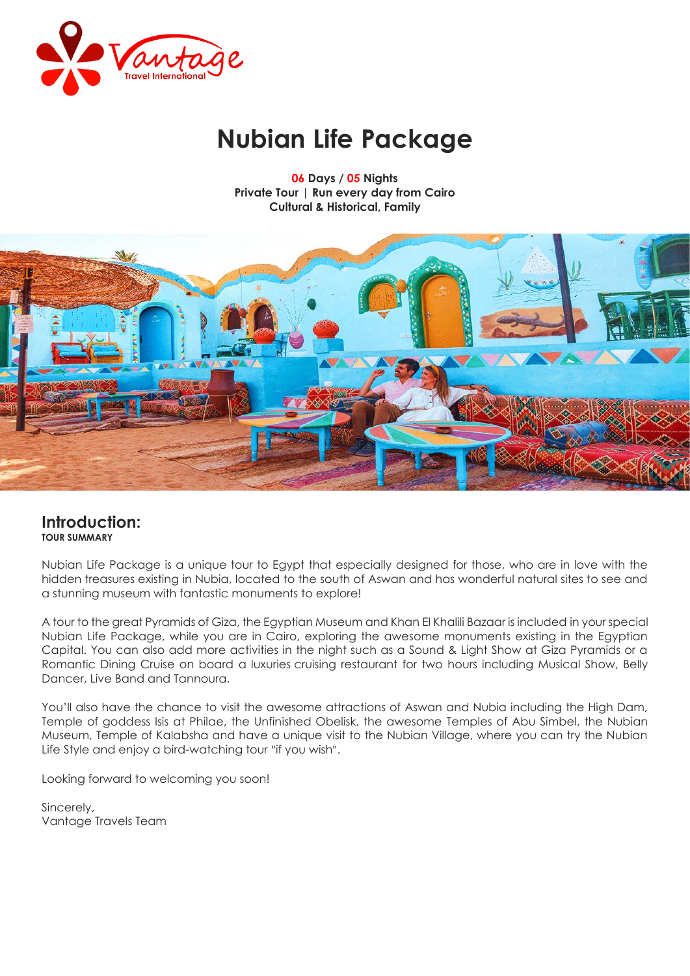

# **Nubian Life Package**

**06 Days / 05 Nights Private Tour | Run every day from Cairo Cultural & Historical, Family**



# **Introduction: TOUR SUMMARY**

Nubian Life Package is a unique tour to Egypt that especially designed for those, who are in love with the hidden treasures existing in Nubia, located to the south of Aswan and has wonderful natural sites to see and a stunning museum with fantastic monuments to explore!

A tour to the great Pyramids of Giza, the Egyptian Museum and Khan El Khalili Bazaar is included in your special Nubian Life Package, while you are in Cairo, exploring the awesome monuments existing in the Egyptian Capital. You can also add more activities in the night such as a Sound & Light Show at Giza Pyramids or a Romantic Dining Cruise on board a luxuries cruising restaurant for two hours including Musical Show, Belly Dancer, Live Band and Tannoura.

You'll also have the chance to visit the awesome attractions of Aswan and Nubia including the High Dam, Temple of goddess Isis at Philae, the Unfinished Obelisk, the awesome Temples of Abu Simbel, the Nubian Museum, Temple of Kalabsha and have a unique visit to the Nubian Village, where you can try the Nubian Life Style and enjoy a bird-watching tour "if you wish".

Looking forward to welcoming you soon!

Sincerely, Vantage Travels Team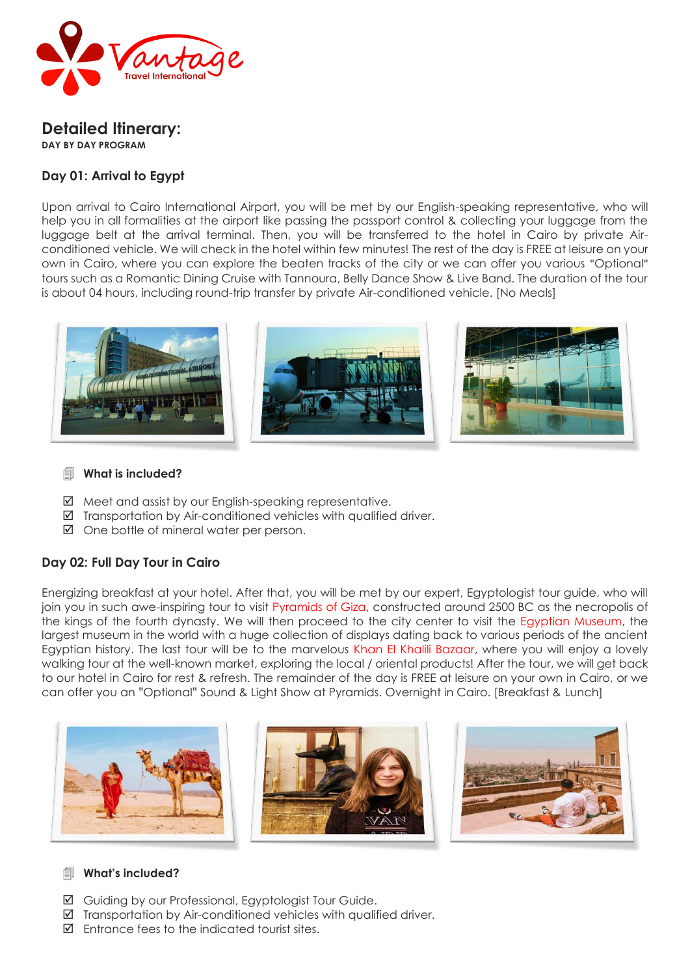

#### **Detailed Itinerary: DAY BY DAY PROGRAM**

# **Day 01: Arrival to Egypt**

Upon arrival to Cairo International Airport, you will be met by our English-speaking representative, who will help you in all formalities at the airport like passing the passport control & collecting your luggage from the luggage belt at the arrival terminal. Then, you will be transferred to the hotel in Cairo by private Airconditioned vehicle. We will check in the hotel within few minutes! The rest of the day is FREE at leisure on your own in Cairo, where you can explore the beaten tracks of the city or we can offer you various "Optional" tours such as a Romantic Dining Cruise with Tannoura, Belly Dance Show & Live Band. The duration of the tour is about 04 hours, including round-trip transfer by private Air-conditioned vehicle. [No Meals]



#### **What is included?**

- $\boxtimes$  Meet and assist by our English-speaking representative.
- $\boxtimes$  Transportation by Air-conditioned vehicles with qualified driver.
- $\boxtimes$  One bottle of mineral water per person.

# **Day 02: Full Day Tour in Cairo**

Energizing breakfast at your hotel. After that, you will be met by our expert, Egyptologist tour guide, who will join you in such awe-inspiring tour to visit Pyramids of Giza, constructed around 2500 BC as the necropolis of the kings of the fourth dynasty. We will then proceed to the city center to visit the Egyptian Museum, the largest museum in the world with a huge collection of displays dating back to various periods of the ancient Egyptian history. The last tour will be to the marvelous Khan El Khalili Bazaar, where you will enjoy a lovely walking tour at the well-known market, exploring the local / oriental products! After the tour, we will get back to our hotel in Cairo for rest & refresh. The remainder of the day is FREE at leisure on your own in Cairo, or we can offer you an "Optional" Sound & Light Show at Pyramids. Overnight in Cairo. [Breakfast & Lunch]



## **What's included?**

- Guiding by our Professional, Egyptologist Tour Guide.
- $\boxtimes$  Transportation by Air-conditioned vehicles with qualified driver.
- $\boxtimes$  Entrance fees to the indicated tourist sites.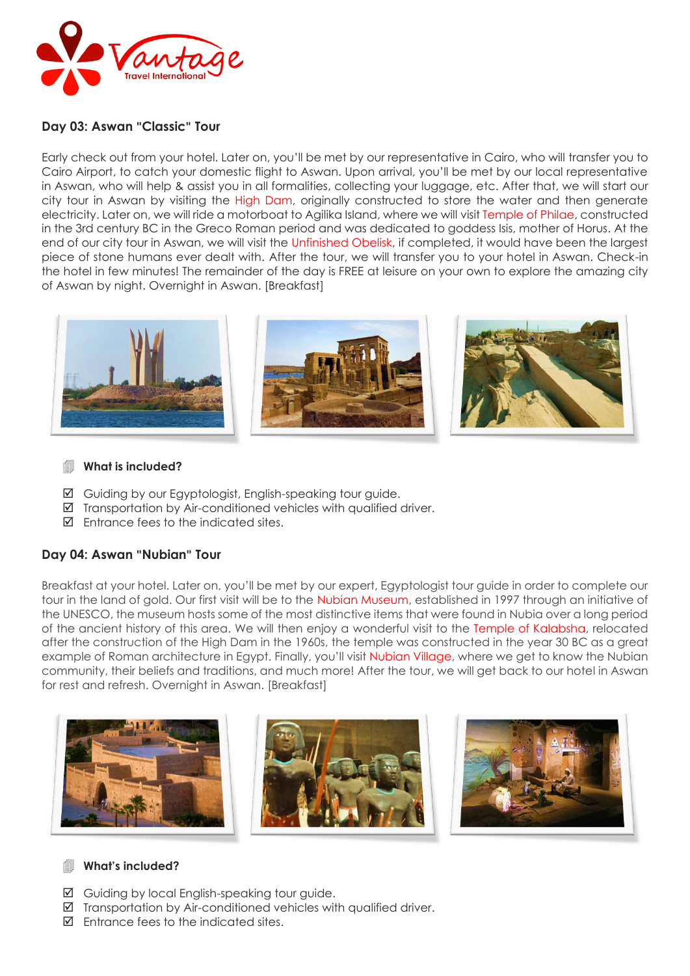

#### **Day 03: Aswan "Classic" Tour**

Early check out from your hotel. Later on, you'll be met by our representative in Cairo, who will transfer you to Cairo Airport, to catch your domestic flight to Aswan. Upon arrival, you'll be met by our local representative in Aswan, who will help & assist you in all formalities, collecting your luggage, etc. After that, we will start our city tour in Aswan by visiting the High Dam, originally constructed to store the water and then generate electricity. Later on, we will ride a motorboat to Agilika Island, where we will visit Temple of Philae, constructed in the 3rd century BC in the Greco Roman period and was dedicated to goddess Isis, mother of Horus. At the end of our city tour in Aswan, we will visit the Unfinished Obelisk, if completed, it would have been the largest piece of stone humans ever dealt with. After the tour, we will transfer you to your hotel in Aswan. Check-in the hotel in few minutes! The remainder of the day is FREE at leisure on your own to explore the amazing city of Aswan by night. Overnight in Aswan. [Breakfast]



#### **What is included?**

- Guiding by our Egyptologist, English-speaking tour guide.
- $\boxtimes$  Transportation by Air-conditioned vehicles with qualified driver.
- $\boxtimes$  Entrance fees to the indicated sites.

## **Day 04: Aswan "Nubian" Tour**

Breakfast at your hotel. Later on, you'll be met by our expert, Egyptologist tour guide in order to complete our tour in the land of gold. Our first visit will be to the Nubian Museum, established in 1997 through an initiative of the UNESCO, the museum hosts some of the most distinctive items that were found in Nubia over a long period of the ancient history of this area. We will then enjoy a wonderful visit to the Temple of Kalabsha, relocated after the construction of the High Dam in the 1960s, the temple was constructed in the year 30 BC as a great example of Roman architecture in Egypt. Finally, you'll visit Nubian Village, where we get to know the Nubian community, their beliefs and traditions, and much more! After the tour, we will get back to our hotel in Aswan for rest and refresh. Overnight in Aswan. [Breakfast]



## **What's included?**

- Guiding by local English-speaking tour guide.
- $\boxtimes$  Transportation by Air-conditioned vehicles with qualified driver.
- $\boxtimes$  Fntrance fees to the indicated sites.